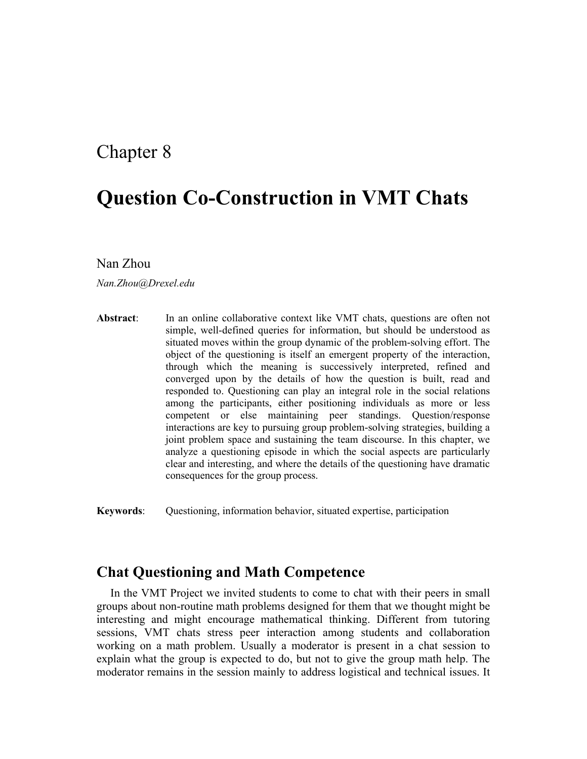# Chapter 8

# **Question Co-Construction in VMT Chats**

Nan Zhou

*Nan.Zhou@Drexel.edu*

**Abstract**: In an online collaborative context like VMT chats, questions are often not simple, well-defined queries for information, but should be understood as situated moves within the group dynamic of the problem-solving effort. The object of the questioning is itself an emergent property of the interaction, through which the meaning is successively interpreted, refined and converged upon by the details of how the question is built, read and responded to. Questioning can play an integral role in the social relations among the participants, either positioning individuals as more or less competent or else maintaining peer standings. Question/response interactions are key to pursuing group problem-solving strategies, building a joint problem space and sustaining the team discourse. In this chapter, we analyze a questioning episode in which the social aspects are particularly clear and interesting, and where the details of the questioning have dramatic consequences for the group process.

**Keywords**: Questioning, information behavior, situated expertise, participation

#### **Chat Questioning and Math Competence**

In the VMT Project we invited students to come to chat with their peers in small groups about non-routine math problems designed for them that we thought might be interesting and might encourage mathematical thinking. Different from tutoring sessions, VMT chats stress peer interaction among students and collaboration working on a math problem. Usually a moderator is present in a chat session to explain what the group is expected to do, but not to give the group math help. The moderator remains in the session mainly to address logistical and technical issues. It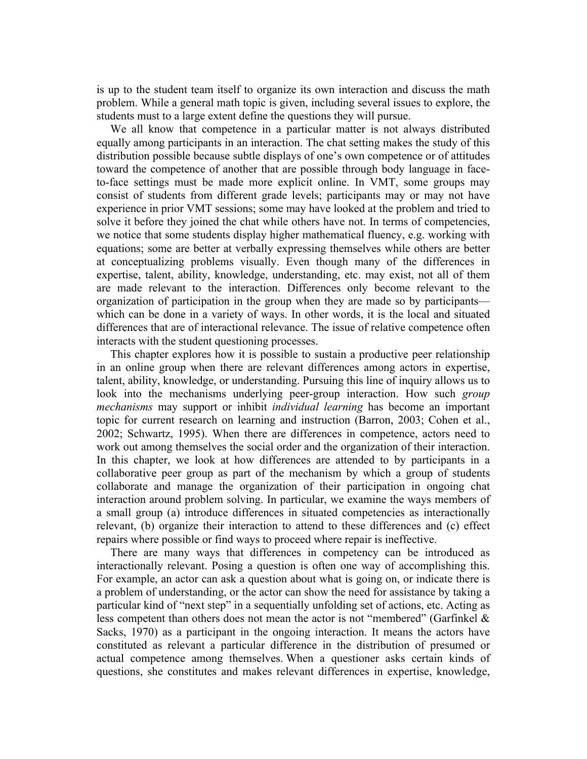is up to the student team itself to organize its own interaction and discuss the math problem. While a general math topic is given, including several issues to explore, the students must to a large extent define the questions they will pursue.

We all know that competence in a particular matter is not always distributed equally among participants in an interaction. The chat setting makes the study of this distribution possible because subtle displays of one's own competence or of attitudes toward the competence of another that are possible through body language in faceto-face settings must be made more explicit online. In VMT, some groups may consist of students from different grade levels; participants may or may not have experience in prior VMT sessions; some may have looked at the problem and tried to solve it before they joined the chat while others have not. In terms of competencies, we notice that some students display higher mathematical fluency, e.g. working with equations; some are better at verbally expressing themselves while others are better at conceptualizing problems visually. Even though many of the differences in expertise, talent, ability, knowledge, understanding, etc. may exist, not all of them are made relevant to the interaction. Differences only become relevant to the organization of participation in the group when they are made so by participants which can be done in a variety of ways. In other words, it is the local and situated differences that are of interactional relevance. The issue of relative competence often interacts with the student questioning processes.

This chapter explores how it is possible to sustain a productive peer relationship in an online group when there are relevant differences among actors in expertise, talent, ability, knowledge, or understanding. Pursuing this line of inquiry allows us to look into the mechanisms underlying peer-group interaction. How such *group mechanisms* may support or inhibit *individual learning* has become an important topic for current research on learning and instruction (Barron, 2003; Cohen et al., 2002; Schwartz, 1995). When there are differences in competence, actors need to work out among themselves the social order and the organization of their interaction. In this chapter, we look at how differences are attended to by participants in a collaborative peer group as part of the mechanism by which a group of students collaborate and manage the organization of their participation in ongoing chat interaction around problem solving. In particular, we examine the ways members of a small group (a) introduce differences in situated competencies as interactionally relevant, (b) organize their interaction to attend to these differences and (c) effect repairs where possible or find ways to proceed where repair is ineffective.

There are many ways that differences in competency can be introduced as interactionally relevant. Posing a question is often one way of accomplishing this. For example, an actor can ask a question about what is going on, or indicate there is a problem of understanding, or the actor can show the need for assistance by taking a particular kind of "next step" in a sequentially unfolding set of actions, etc. Acting as less competent than others does not mean the actor is not "membered" (Garfinkel & Sacks, 1970) as a participant in the ongoing interaction. It means the actors have constituted as relevant a particular difference in the distribution of presumed or actual competence among themselves. When a questioner asks certain kinds of questions, she constitutes and makes relevant differences in expertise, knowledge,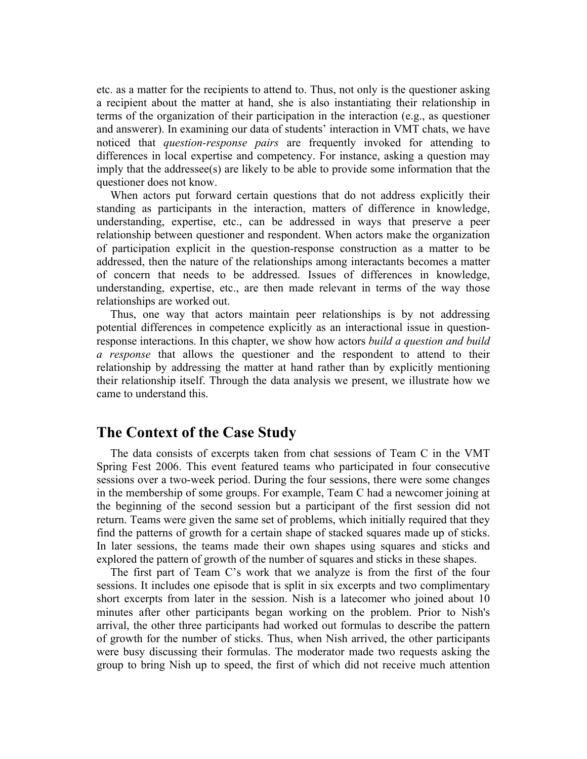etc. as a matter for the recipients to attend to. Thus, not only is the questioner asking a recipient about the matter at hand, she is also instantiating their relationship in terms of the organization of their participation in the interaction (e.g., as questioner and answerer). In examining our data of students' interaction in VMT chats, we have noticed that *question-response pairs* are frequently invoked for attending to differences in local expertise and competency. For instance, asking a question may imply that the addressee(s) are likely to be able to provide some information that the questioner does not know.

When actors put forward certain questions that do not address explicitly their standing as participants in the interaction, matters of difference in knowledge, understanding, expertise, etc., can be addressed in ways that preserve a peer relationship between questioner and respondent. When actors make the organization of participation explicit in the question-response construction as a matter to be addressed, then the nature of the relationships among interactants becomes a matter of concern that needs to be addressed. Issues of differences in knowledge, understanding, expertise, etc., are then made relevant in terms of the way those relationships are worked out.

Thus, one way that actors maintain peer relationships is by not addressing potential differences in competence explicitly as an interactional issue in questionresponse interactions. In this chapter, we show how actors *build a question and build a response* that allows the questioner and the respondent to attend to their relationship by addressing the matter at hand rather than by explicitly mentioning their relationship itself. Through the data analysis we present, we illustrate how we came to understand this.

#### **The Context of the Case Study**

The data consists of excerpts taken from chat sessions of Team C in the VMT Spring Fest 2006. This event featured teams who participated in four consecutive sessions over a two-week period. During the four sessions, there were some changes in the membership of some groups. For example, Team C had a newcomer joining at the beginning of the second session but a participant of the first session did not return. Teams were given the same set of problems, which initially required that they find the patterns of growth for a certain shape of stacked squares made up of sticks. In later sessions, the teams made their own shapes using squares and sticks and explored the pattern of growth of the number of squares and sticks in these shapes.

The first part of Team C's work that we analyze is from the first of the four sessions. It includes one episode that is split in six excerpts and two complimentary short excerpts from later in the session. Nish is a latecomer who joined about 10 minutes after other participants began working on the problem. Prior to Nish's arrival, the other three participants had worked out formulas to describe the pattern of growth for the number of sticks. Thus, when Nish arrived, the other participants were busy discussing their formulas. The moderator made two requests asking the group to bring Nish up to speed, the first of which did not receive much attention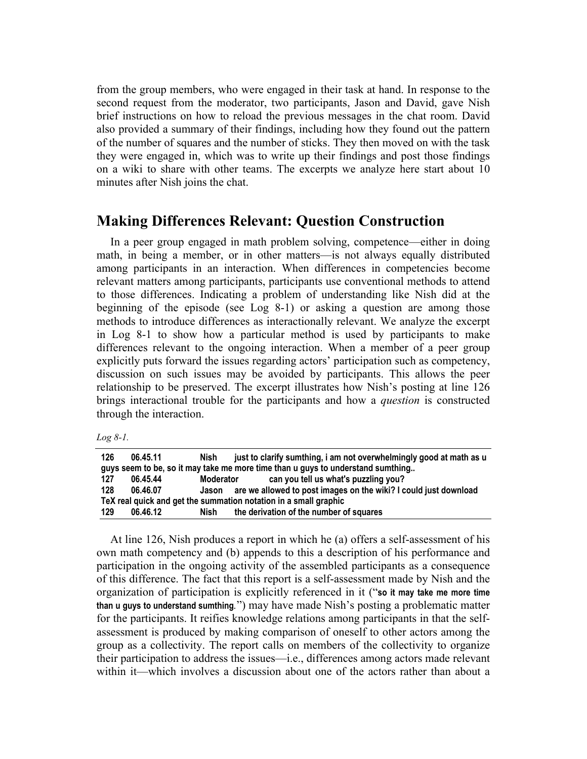from the group members, who were engaged in their task at hand. In response to the second request from the moderator, two participants, Jason and David, gave Nish brief instructions on how to reload the previous messages in the chat room. David also provided a summary of their findings, including how they found out the pattern of the number of squares and the number of sticks. They then moved on with the task they were engaged in, which was to write up their findings and post those findings on a wiki to share with other teams. The excerpts we analyze here start about 10 minutes after Nish joins the chat.

#### **Making Differences Relevant: Question Construction**

In a peer group engaged in math problem solving, competence—either in doing math, in being a member, or in other matters—is not always equally distributed among participants in an interaction. When differences in competencies become relevant matters among participants, participants use conventional methods to attend to those differences. Indicating a problem of understanding like Nish did at the beginning of the episode (see Log 8-1) or asking a question are among those methods to introduce differences as interactionally relevant. We analyze the excerpt in Log 8-1 to show how a particular method is used by participants to make differences relevant to the ongoing interaction. When a member of a peer group explicitly puts forward the issues regarding actors' participation such as competency, discussion on such issues may be avoided by participants. This allows the peer relationship to be preserved. The excerpt illustrates how Nish's posting at line 126 brings interactional trouble for the participants and how a *question* is constructed through the interaction.

|--|--|

| 126                                                              | 06.45.11 | Nish      | just to clarify sumthing, i am not overwhelmingly good at math as u             |
|------------------------------------------------------------------|----------|-----------|---------------------------------------------------------------------------------|
|                                                                  |          |           | guys seem to be, so it may take me more time than u guys to understand sumthing |
| 127                                                              | 06.45.44 | Moderator | can you tell us what's puzzling you?                                            |
| 128                                                              | 06.46.07 | Jason     | are we allowed to post images on the wiki? I could just download                |
| TeX real quick and get the summation notation in a small graphic |          |           |                                                                                 |
| 129                                                              | 06.46.12 | Nish      | the derivation of the number of squares                                         |

At line 126, Nish produces a report in which he (a) offers a self-assessment of his own math competency and (b) appends to this a description of his performance and participation in the ongoing activity of the assembled participants as a consequence of this difference. The fact that this report is a self-assessment made by Nish and the organization of participation is explicitly referenced in it ("**so it may take me more time than u guys to understand sumthing***.*") may have made Nish's posting a problematic matter for the participants. It reifies knowledge relations among participants in that the selfassessment is produced by making comparison of oneself to other actors among the group as a collectivity. The report calls on members of the collectivity to organize their participation to address the issues—i.e., differences among actors made relevant within it—which involves a discussion about one of the actors rather than about a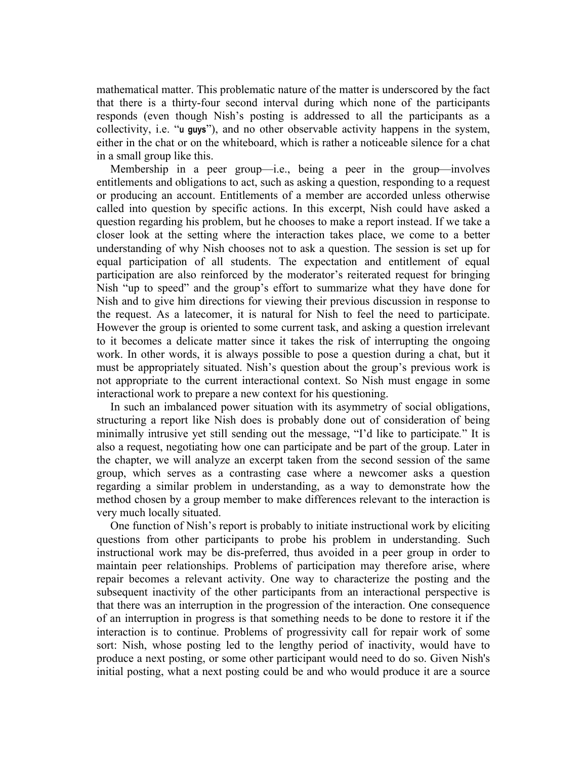mathematical matter. This problematic nature of the matter is underscored by the fact that there is a thirty-four second interval during which none of the participants responds (even though Nish's posting is addressed to all the participants as a collectivity, i.e. "**u guys**"), and no other observable activity happens in the system, either in the chat or on the whiteboard, which is rather a noticeable silence for a chat in a small group like this.

Membership in a peer group—i.e., being a peer in the group—involves entitlements and obligations to act, such as asking a question, responding to a request or producing an account. Entitlements of a member are accorded unless otherwise called into question by specific actions. In this excerpt, Nish could have asked a question regarding his problem, but he chooses to make a report instead. If we take a closer look at the setting where the interaction takes place, we come to a better understanding of why Nish chooses not to ask a question. The session is set up for equal participation of all students. The expectation and entitlement of equal participation are also reinforced by the moderator's reiterated request for bringing Nish "up to speed" and the group's effort to summarize what they have done for Nish and to give him directions for viewing their previous discussion in response to the request. As a latecomer, it is natural for Nish to feel the need to participate. However the group is oriented to some current task, and asking a question irrelevant to it becomes a delicate matter since it takes the risk of interrupting the ongoing work. In other words, it is always possible to pose a question during a chat, but it must be appropriately situated. Nish's question about the group's previous work is not appropriate to the current interactional context. So Nish must engage in some interactional work to prepare a new context for his questioning.

In such an imbalanced power situation with its asymmetry of social obligations, structuring a report like Nish does is probably done out of consideration of being minimally intrusive yet still sending out the message, "I'd like to participate*.*" It is also a request, negotiating how one can participate and be part of the group. Later in the chapter, we will analyze an excerpt taken from the second session of the same group, which serves as a contrasting case where a newcomer asks a question regarding a similar problem in understanding, as a way to demonstrate how the method chosen by a group member to make differences relevant to the interaction is very much locally situated.

One function of Nish's report is probably to initiate instructional work by eliciting questions from other participants to probe his problem in understanding. Such instructional work may be dis-preferred, thus avoided in a peer group in order to maintain peer relationships. Problems of participation may therefore arise, where repair becomes a relevant activity. One way to characterize the posting and the subsequent inactivity of the other participants from an interactional perspective is that there was an interruption in the progression of the interaction. One consequence of an interruption in progress is that something needs to be done to restore it if the interaction is to continue. Problems of progressivity call for repair work of some sort: Nish, whose posting led to the lengthy period of inactivity, would have to produce a next posting, or some other participant would need to do so. Given Nish's initial posting, what a next posting could be and who would produce it are a source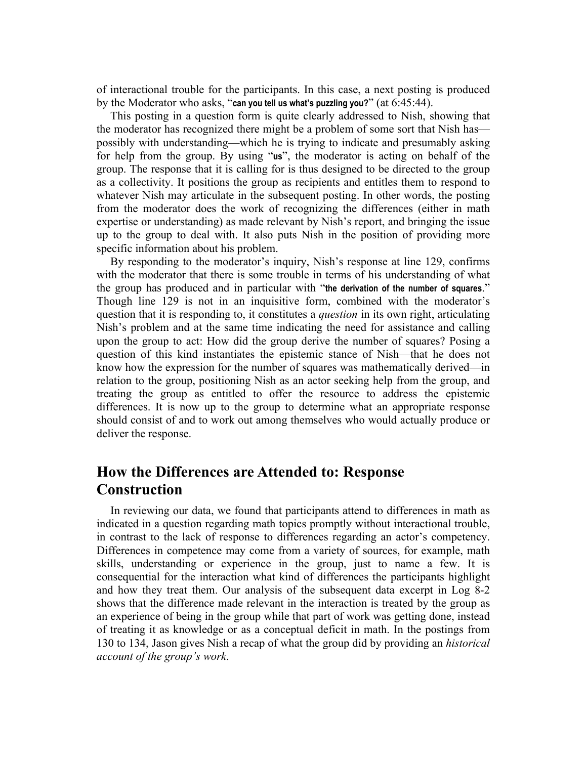of interactional trouble for the participants. In this case, a next posting is produced by the Moderator who asks, "**can you tell us what's puzzling you?**" (at 6:45:44).

This posting in a question form is quite clearly addressed to Nish, showing that the moderator has recognized there might be a problem of some sort that Nish has possibly with understanding—which he is trying to indicate and presumably asking for help from the group. By using "**us**", the moderator is acting on behalf of the group. The response that it is calling for is thus designed to be directed to the group as a collectivity. It positions the group as recipients and entitles them to respond to whatever Nish may articulate in the subsequent posting. In other words, the posting from the moderator does the work of recognizing the differences (either in math expertise or understanding) as made relevant by Nish's report, and bringing the issue up to the group to deal with. It also puts Nish in the position of providing more specific information about his problem.

By responding to the moderator's inquiry, Nish's response at line 129, confirms with the moderator that there is some trouble in terms of his understanding of what the group has produced and in particular with "**the derivation of the number of squares**." Though line 129 is not in an inquisitive form, combined with the moderator's question that it is responding to, it constitutes a *question* in its own right, articulating Nish's problem and at the same time indicating the need for assistance and calling upon the group to act: How did the group derive the number of squares? Posing a question of this kind instantiates the epistemic stance of Nish—that he does not know how the expression for the number of squares was mathematically derived—in relation to the group, positioning Nish as an actor seeking help from the group, and treating the group as entitled to offer the resource to address the epistemic differences. It is now up to the group to determine what an appropriate response should consist of and to work out among themselves who would actually produce or deliver the response.

## **How the Differences are Attended to: Response Construction**

In reviewing our data, we found that participants attend to differences in math as indicated in a question regarding math topics promptly without interactional trouble, in contrast to the lack of response to differences regarding an actor's competency. Differences in competence may come from a variety of sources, for example, math skills, understanding or experience in the group, just to name a few. It is consequential for the interaction what kind of differences the participants highlight and how they treat them. Our analysis of the subsequent data excerpt in Log 8-2 shows that the difference made relevant in the interaction is treated by the group as an experience of being in the group while that part of work was getting done, instead of treating it as knowledge or as a conceptual deficit in math. In the postings from 130 to 134, Jason gives Nish a recap of what the group did by providing an *historical account of the group's work*.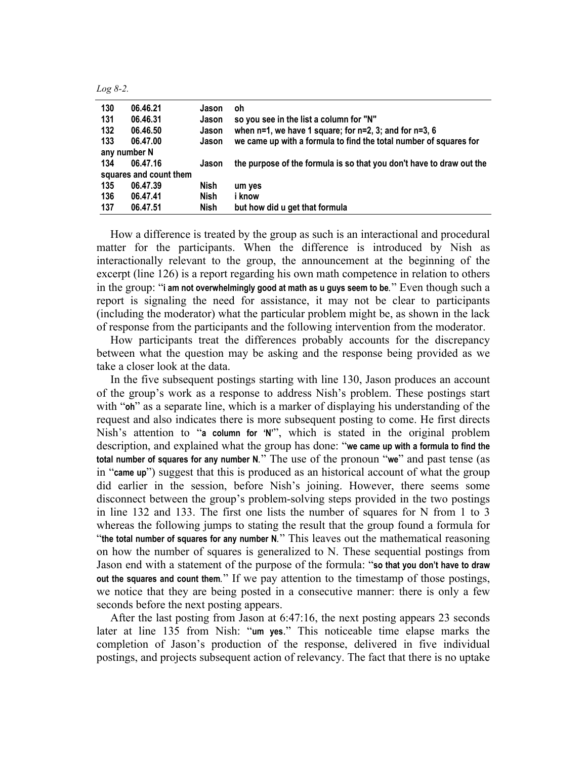|--|--|

| 130          | 06.46.21               | Jason       | oh                                                                   |
|--------------|------------------------|-------------|----------------------------------------------------------------------|
| 131          | 06.46.31               | Jason       | so you see in the list a column for "N"                              |
| 132          | 06.46.50               | Jason       | when $n=1$ , we have 1 square; for $n=2$ , 3; and for $n=3$ , 6      |
| 133          | 06.47.00               | Jason       | we came up with a formula to find the total number of squares for    |
| any number N |                        |             |                                                                      |
| 134          | 06.47.16               | Jason       | the purpose of the formula is so that you don't have to draw out the |
|              | squares and count them |             |                                                                      |
| 135          | 06.47.39               | <b>Nish</b> | um yes                                                               |
| 136          | 06.47.41               | <b>Nish</b> | i know                                                               |
| 137          | 06.47.51               | <b>Nish</b> | but how did u get that formula                                       |

How a difference is treated by the group as such is an interactional and procedural matter for the participants. When the difference is introduced by Nish as interactionally relevant to the group, the announcement at the beginning of the excerpt (line 126) is a report regarding his own math competence in relation to others in the group: "**i am not overwhelmingly good at math as u guys seem to be***.*" Even though such a report is signaling the need for assistance, it may not be clear to participants (including the moderator) what the particular problem might be, as shown in the lack of response from the participants and the following intervention from the moderator.

How participants treat the differences probably accounts for the discrepancy between what the question may be asking and the response being provided as we take a closer look at the data.

In the five subsequent postings starting with line 130, Jason produces an account of the group's work as a response to address Nish's problem. These postings start with " $oh$ " as a separate line, which is a marker of displaying his understanding of the request and also indicates there is more subsequent posting to come. He first directs Nish's attention to "**a column for 'N'**", which is stated in the original problem description, and explained what the group has done: "**we came up with a formula to find the total number of squares for any number N***.*" The use of the pronoun "**we**" and past tense (as in "**came up**") suggest that this is produced as an historical account of what the group did earlier in the session, before Nish's joining. However, there seems some disconnect between the group's problem-solving steps provided in the two postings in line 132 and 133. The first one lists the number of squares for N from 1 to 3 whereas the following jumps to stating the result that the group found a formula for "**the total number of squares for any number N***.*" This leaves out the mathematical reasoning on how the number of squares is generalized to N. These sequential postings from Jason end with a statement of the purpose of the formula: "**so that you don't have to draw out the squares and count them***.*" If we pay attention to the timestamp of those postings, we notice that they are being posted in a consecutive manner: there is only a few seconds before the next posting appears.

After the last posting from Jason at 6:47:16, the next posting appears 23 seconds later at line 135 from Nish: "**um yes**." This noticeable time elapse marks the completion of Jason's production of the response, delivered in five individual postings, and projects subsequent action of relevancy. The fact that there is no uptake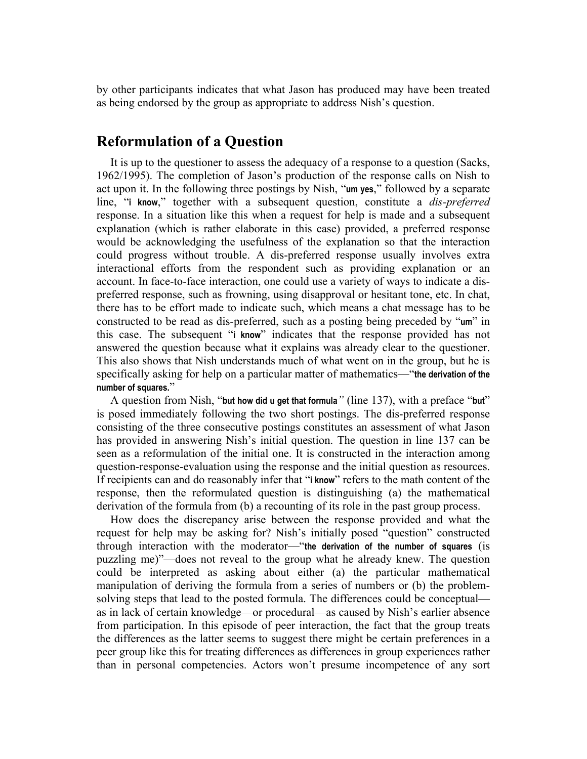by other participants indicates that what Jason has produced may have been treated as being endorsed by the group as appropriate to address Nish's question.

#### **Reformulation of a Question**

It is up to the questioner to assess the adequacy of a response to a question (Sacks, 1962/1995). The completion of Jason's production of the response calls on Nish to act upon it. In the following three postings by Nish, "**um yes**," followed by a separate line, "**i know**," together with a subsequent question, constitute a *dis-preferred* response. In a situation like this when a request for help is made and a subsequent explanation (which is rather elaborate in this case) provided, a preferred response would be acknowledging the usefulness of the explanation so that the interaction could progress without trouble. A dis-preferred response usually involves extra interactional efforts from the respondent such as providing explanation or an account. In face-to-face interaction, one could use a variety of ways to indicate a dispreferred response, such as frowning, using disapproval or hesitant tone, etc. In chat, there has to be effort made to indicate such, which means a chat message has to be constructed to be read as dis-preferred, such as a posting being preceded by "**um**" in this case. The subsequent "**i know**" indicates that the response provided has not answered the question because what it explains was already clear to the questioner. This also shows that Nish understands much of what went on in the group, but he is specifically asking for help on a particular matter of mathematics—"**the derivation of the number of squares.**"

A question from Nish, "**but how did u get that formula***"* (line 137), with a preface "**but**" is posed immediately following the two short postings. The dis-preferred response consisting of the three consecutive postings constitutes an assessment of what Jason has provided in answering Nish's initial question. The question in line 137 can be seen as a reformulation of the initial one. It is constructed in the interaction among question-response-evaluation using the response and the initial question as resources. If recipients can and do reasonably infer that "**i know**" refers to the math content of the response, then the reformulated question is distinguishing (a) the mathematical derivation of the formula from (b) a recounting of its role in the past group process.

How does the discrepancy arise between the response provided and what the request for help may be asking for? Nish's initially posed "question" constructed through interaction with the moderator—"**the derivation of the number of squares** (is puzzling me)"—does not reveal to the group what he already knew. The question could be interpreted as asking about either (a) the particular mathematical manipulation of deriving the formula from a series of numbers or (b) the problemsolving steps that lead to the posted formula. The differences could be conceptual as in lack of certain knowledge—or procedural—as caused by Nish's earlier absence from participation. In this episode of peer interaction, the fact that the group treats the differences as the latter seems to suggest there might be certain preferences in a peer group like this for treating differences as differences in group experiences rather than in personal competencies. Actors won't presume incompetence of any sort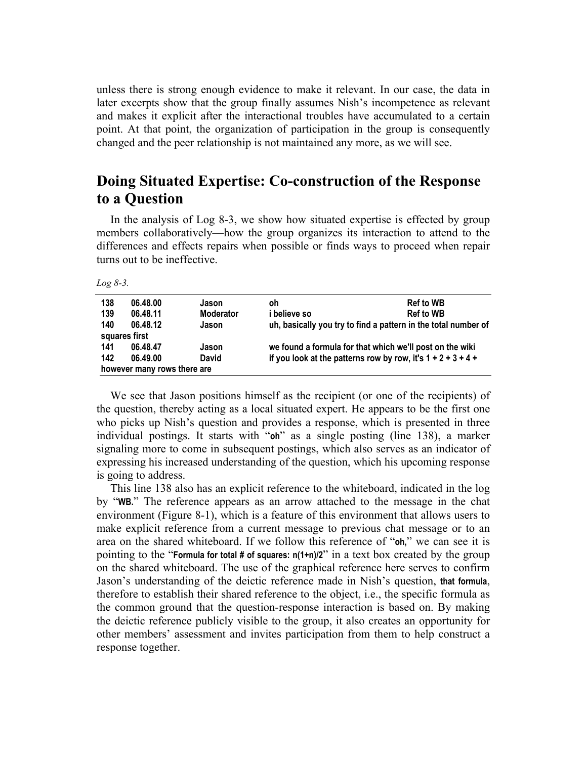unless there is strong enough evidence to make it relevant. In our case, the data in later excerpts show that the group finally assumes Nish's incompetence as relevant and makes it explicit after the interactional troubles have accumulated to a certain point. At that point, the organization of participation in the group is consequently changed and the peer relationship is not maintained any more, as we will see.

## **Doing Situated Expertise: Co-construction of the Response to a Question**

In the analysis of Log 8-3, we show how situated expertise is effected by group members collaboratively—how the group organizes its interaction to attend to the differences and effects repairs when possible or finds ways to proceed when repair turns out to be ineffective.

|--|--|

| 138 | 06.48.00                    | Jason            | oh           | <b>Ref to WB</b>                                               |
|-----|-----------------------------|------------------|--------------|----------------------------------------------------------------|
| 139 | 06.48.11                    | <b>Moderator</b> | i believe so | <b>Ref to WB</b>                                               |
| 140 | 06.48.12                    | Jason            |              | uh, basically you try to find a pattern in the total number of |
|     | squares first               |                  |              |                                                                |
| 141 | 06.48.47                    | Jason            |              | we found a formula for that which we'll post on the wiki       |
| 142 | 06.49.00                    | David            |              | if you look at the patterns row by row, it's $1 + 2 + 3 + 4 +$ |
|     | however many rows there are |                  |              |                                                                |

We see that Jason positions himself as the recipient (or one of the recipients) of the question, thereby acting as a local situated expert. He appears to be the first one who picks up Nish's question and provides a response, which is presented in three individual postings. It starts with "**oh**" as a single posting (line 138), a marker signaling more to come in subsequent postings, which also serves as an indicator of expressing his increased understanding of the question, which his upcoming response is going to address.

This line 138 also has an explicit reference to the whiteboard, indicated in the log by "**WB.**" The reference appears as an arrow attached to the message in the chat environment (Figure 8-1), which is a feature of this environment that allows users to make explicit reference from a current message to previous chat message or to an area on the shared whiteboard. If we follow this reference of "**oh,**" we can see it is pointing to the "**Formula for total # of squares: n(1+n)/2**" in a text box created by the group on the shared whiteboard. The use of the graphical reference here serves to confirm Jason's understanding of the deictic reference made in Nish's question, **that formula**, therefore to establish their shared reference to the object, i.e., the specific formula as the common ground that the question-response interaction is based on. By making the deictic reference publicly visible to the group, it also creates an opportunity for other members' assessment and invites participation from them to help construct a response together.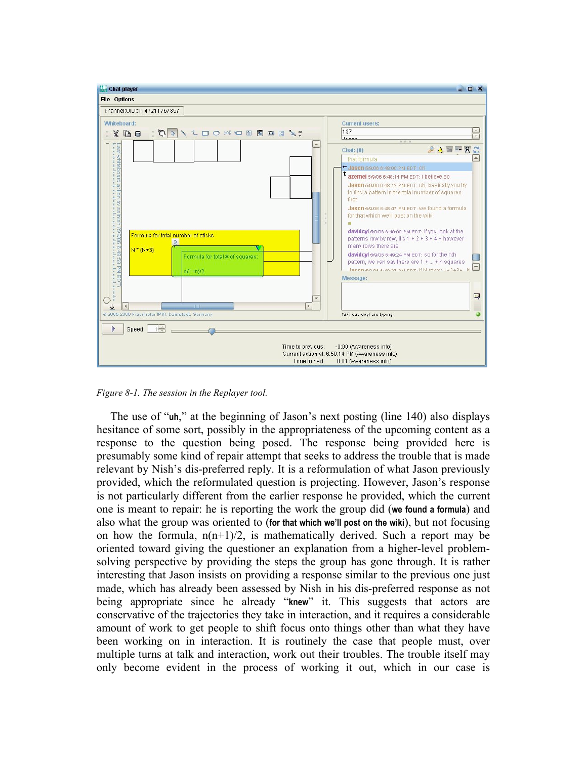

*Figure 8-1. The session in the Replayer tool.*

The use of "**uh**," at the beginning of Jason's next posting (line 140) also displays hesitance of some sort, possibly in the appropriateness of the upcoming content as a response to the question being posed. The response being provided here is presumably some kind of repair attempt that seeks to address the trouble that is made relevant by Nish's dis-preferred reply. It is a reformulation of what Jason previously provided, which the reformulated question is projecting. However, Jason's response is not particularly different from the earlier response he provided, which the current one is meant to repair: he is reporting the work the group did (**we found a formula**) and also what the group was oriented to (**for that which we'll post on the wiki**), but not focusing on how the formula,  $n(n+1)/2$ , is mathematically derived. Such a report may be oriented toward giving the questioner an explanation from a higher-level problemsolving perspective by providing the steps the group has gone through. It is rather interesting that Jason insists on providing a response similar to the previous one just made, which has already been assessed by Nish in his dis-preferred response as not being appropriate since he already "**knew**" it. This suggests that actors are conservative of the trajectories they take in interaction, and it requires a considerable amount of work to get people to shift focus onto things other than what they have been working on in interaction. It is routinely the case that people must, over multiple turns at talk and interaction, work out their troubles. The trouble itself may only become evident in the process of working it out, which in our case is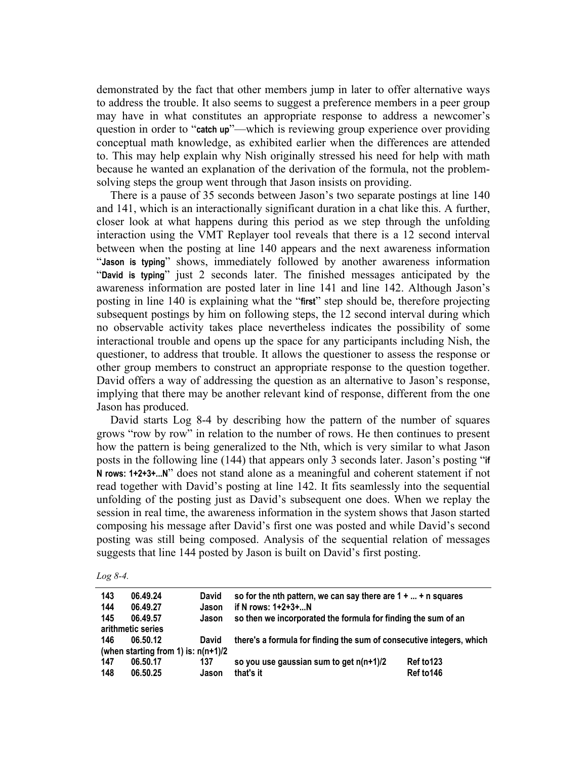demonstrated by the fact that other members jump in later to offer alternative ways to address the trouble. It also seems to suggest a preference members in a peer group may have in what constitutes an appropriate response to address a newcomer's question in order to "**catch up**"—which is reviewing group experience over providing conceptual math knowledge, as exhibited earlier when the differences are attended to. This may help explain why Nish originally stressed his need for help with math because he wanted an explanation of the derivation of the formula, not the problemsolving steps the group went through that Jason insists on providing.

There is a pause of 35 seconds between Jason's two separate postings at line 140 and 141, which is an interactionally significant duration in a chat like this. A further, closer look at what happens during this period as we step through the unfolding interaction using the VMT Replayer tool reveals that there is a 12 second interval between when the posting at line 140 appears and the next awareness information "**Jason is typing**" shows, immediately followed by another awareness information "**David is typing**" just 2 seconds later. The finished messages anticipated by the awareness information are posted later in line 141 and line 142. Although Jason's posting in line 140 is explaining what the "**first**" step should be, therefore projecting subsequent postings by him on following steps, the 12 second interval during which no observable activity takes place nevertheless indicates the possibility of some interactional trouble and opens up the space for any participants including Nish, the questioner, to address that trouble. It allows the questioner to assess the response or other group members to construct an appropriate response to the question together. David offers a way of addressing the question as an alternative to Jason's response, implying that there may be another relevant kind of response, different from the one Jason has produced.

David starts Log 8-4 by describing how the pattern of the number of squares grows "row by row" in relation to the number of rows. He then continues to present how the pattern is being generalized to the Nth, which is very similar to what Jason posts in the following line (144) that appears only 3 seconds later. Jason's posting "**if N rows: 1+2+3+...N**" does not stand alone as a meaningful and coherent statement if not read together with David's posting at line 142. It fits seamlessly into the sequential unfolding of the posting just as David's subsequent one does. When we replay the session in real time, the awareness information in the system shows that Jason started composing his message after David's first one was posted and while David's second posting was still being composed. Analysis of the sequential relation of messages suggests that line 144 posted by Jason is built on David's first posting.

|--|--|

| 143<br>144 | 06.49.24<br>06.49.27                  | <b>David</b><br>Jason | so for the nth pattern, we can say there are $1 +  + n$ squares<br>if N rows: $1+2+3+N$ |            |
|------------|---------------------------------------|-----------------------|-----------------------------------------------------------------------------------------|------------|
| 145        | 06.49.57                              | Jason                 | so then we incorporated the formula for finding the sum of an                           |            |
|            | arithmetic series                     |                       |                                                                                         |            |
| 146        | 06.50.12                              | <b>David</b>          | there's a formula for finding the sum of consecutive integers, which                    |            |
|            | (when starting from 1) is: $n(n+1)/2$ |                       |                                                                                         |            |
| 147        | 06.50.17                              | 137                   | so you use gaussian sum to get $n(n+1)/2$                                               | Ref to 123 |
| 148        | 06.50.25                              | Jason                 | that's it                                                                               | Ref to 146 |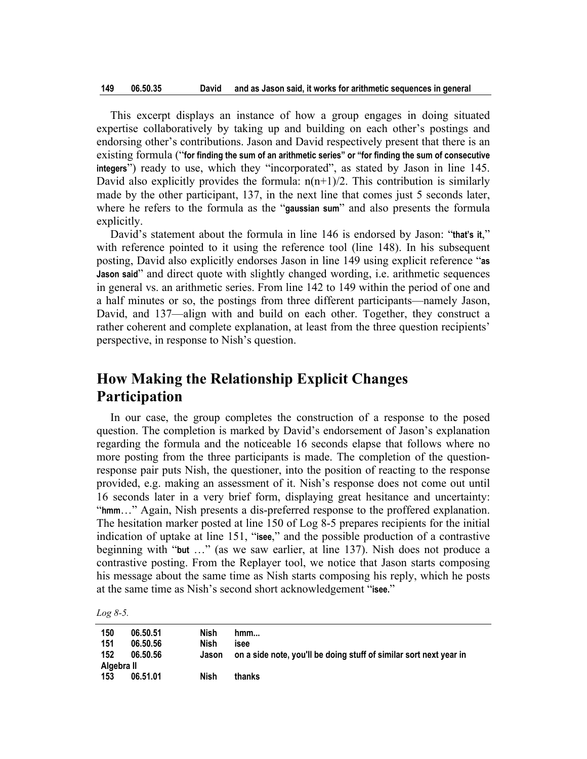This excerpt displays an instance of how a group engages in doing situated expertise collaboratively by taking up and building on each other's postings and endorsing other's contributions. Jason and David respectively present that there is an existing formula ("**for finding the sum of an arithmetic series" or "for finding the sum of consecutive integers**") ready to use, which they "incorporated", as stated by Jason in line 145. David also explicitly provides the formula:  $n(n+1)/2$ . This contribution is similarly made by the other participant, 137, in the next line that comes just 5 seconds later, where he refers to the formula as the "**gaussian sum**" and also presents the formula explicitly.

David's statement about the formula in line 146 is endorsed by Jason: "**that's it**," with reference pointed to it using the reference tool (line 148). In his subsequent posting, David also explicitly endorses Jason in line 149 using explicit reference "**as Jason said**" and direct quote with slightly changed wording, i.e. arithmetic sequences in general vs. an arithmetic series. From line 142 to 149 within the period of one and a half minutes or so, the postings from three different participants—namely Jason, David, and 137—align with and build on each other. Together, they construct a rather coherent and complete explanation, at least from the three question recipients' perspective, in response to Nish's question.

## **How Making the Relationship Explicit Changes Participation**

In our case, the group completes the construction of a response to the posed question. The completion is marked by David's endorsement of Jason's explanation regarding the formula and the noticeable 16 seconds elapse that follows where no more posting from the three participants is made. The completion of the questionresponse pair puts Nish, the questioner, into the position of reacting to the response provided, e.g. making an assessment of it. Nish's response does not come out until 16 seconds later in a very brief form, displaying great hesitance and uncertainty: "**hmm**…" Again, Nish presents a dis-preferred response to the proffered explanation. The hesitation marker posted at line 150 of Log 8-5 prepares recipients for the initial indication of uptake at line 151, "**isee**," and the possible production of a contrastive beginning with "**but** …" (as we saw earlier, at line 137). Nish does not produce a contrastive posting. From the Replayer tool, we notice that Jason starts composing his message about the same time as Nish starts composing his reply, which he posts at the same time as Nish's second short acknowledgement "**isee.**"

|--|--|

| 150<br>151 | 06.50.51<br>06.50.56 | Nish<br>Nish | hmm<br><b>isee</b>                                                 |
|------------|----------------------|--------------|--------------------------------------------------------------------|
| 152        | 06.50.56             | Jason        | on a side note, you'll be doing stuff of similar sort next year in |
| Algebra II |                      |              |                                                                    |
| 153        | 06.51.01             | Nish         | thanks                                                             |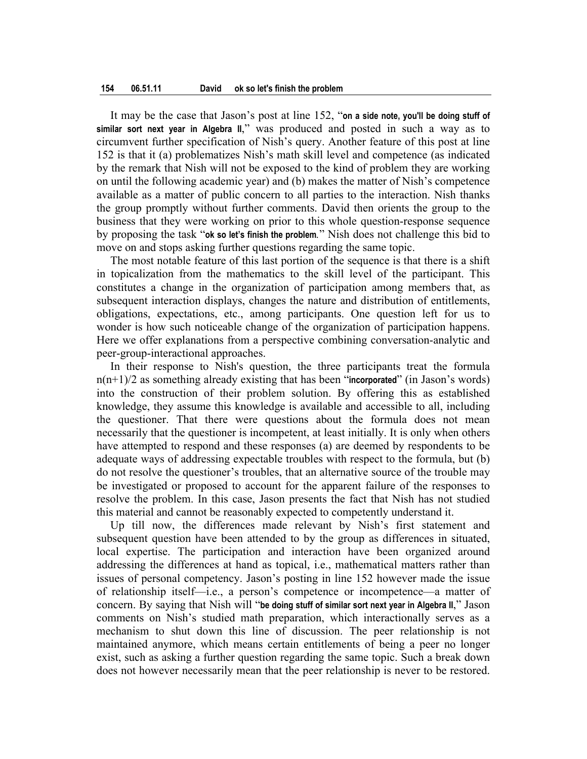It may be the case that Jason's post at line 152, "**on a side note, you'll be doing stuff of similar sort next year in Algebra II**," was produced and posted in such a way as to circumvent further specification of Nish's query. Another feature of this post at line 152 is that it (a) problematizes Nish's math skill level and competence (as indicated by the remark that Nish will not be exposed to the kind of problem they are working on until the following academic year) and (b) makes the matter of Nish's competence available as a matter of public concern to all parties to the interaction. Nish thanks the group promptly without further comments. David then orients the group to the business that they were working on prior to this whole question-response sequence by proposing the task "**ok so let's finish the problem***.*" Nish does not challenge this bid to move on and stops asking further questions regarding the same topic.

The most notable feature of this last portion of the sequence is that there is a shift in topicalization from the mathematics to the skill level of the participant. This constitutes a change in the organization of participation among members that, as subsequent interaction displays, changes the nature and distribution of entitlements, obligations, expectations, etc., among participants. One question left for us to wonder is how such noticeable change of the organization of participation happens. Here we offer explanations from a perspective combining conversation-analytic and peer-group-interactional approaches.

In their response to Nish's question, the three participants treat the formula n(n+1)/2 as something already existing that has been "**incorporated**" (in Jason's words) into the construction of their problem solution. By offering this as established knowledge, they assume this knowledge is available and accessible to all, including the questioner. That there were questions about the formula does not mean necessarily that the questioner is incompetent, at least initially. It is only when others have attempted to respond and these responses (a) are deemed by respondents to be adequate ways of addressing expectable troubles with respect to the formula, but (b) do not resolve the questioner's troubles, that an alternative source of the trouble may be investigated or proposed to account for the apparent failure of the responses to resolve the problem. In this case, Jason presents the fact that Nish has not studied this material and cannot be reasonably expected to competently understand it.

Up till now, the differences made relevant by Nish's first statement and subsequent question have been attended to by the group as differences in situated, local expertise. The participation and interaction have been organized around addressing the differences at hand as topical, i.e., mathematical matters rather than issues of personal competency. Jason's posting in line 152 however made the issue of relationship itself—i.e., a person's competence or incompetence—a matter of concern. By saying that Nish will "**be doing stuff of similar sort next year in Algebra II**," Jason comments on Nish's studied math preparation, which interactionally serves as a mechanism to shut down this line of discussion. The peer relationship is not maintained anymore, which means certain entitlements of being a peer no longer exist, such as asking a further question regarding the same topic. Such a break down does not however necessarily mean that the peer relationship is never to be restored.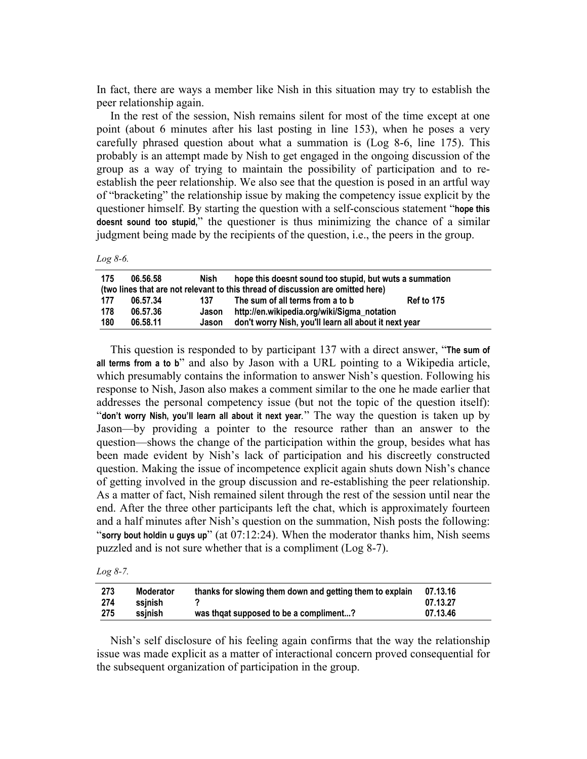In fact, there are ways a member like Nish in this situation may try to establish the peer relationship again.

In the rest of the session, Nish remains silent for most of the time except at one point (about 6 minutes after his last posting in line 153), when he poses a very carefully phrased question about what a summation is (Log 8-6, line 175). This probably is an attempt made by Nish to get engaged in the ongoing discussion of the group as a way of trying to maintain the possibility of participation and to reestablish the peer relationship. We also see that the question is posed in an artful way of "bracketing" the relationship issue by making the competency issue explicit by the questioner himself. By starting the question with a self-conscious statement "**hope this doesnt sound too stupid,**" the questioner is thus minimizing the chance of a similar judgment being made by the recipients of the question, i.e., the peers in the group.

*Log 8-6.*

| 175 | hope this doesnt sound too stupid, but wuts a summation<br>06.56.58<br>Nish<br>(two lines that are not relevant to this thread of discussion are omitted here) |       |                                                       |            |
|-----|----------------------------------------------------------------------------------------------------------------------------------------------------------------|-------|-------------------------------------------------------|------------|
| 177 | 06.57.34                                                                                                                                                       | 137   | The sum of all terms from a to b                      | Ref to 175 |
| 178 | 06.57.36                                                                                                                                                       | Jason | http://en.wikipedia.org/wiki/Sigma notation           |            |
| 180 | 06.58.11                                                                                                                                                       | Jason | don't worry Nish, you'll learn all about it next year |            |

This question is responded to by participant 137 with a direct answer, "**The sum of all terms from a to b**" and also by Jason with a URL pointing to a Wikipedia article, which presumably contains the information to answer Nish's question. Following his response to Nish, Jason also makes a comment similar to the one he made earlier that addresses the personal competency issue (but not the topic of the question itself): "**don't worry Nish, you'll learn all about it next year***.*" The way the question is taken up by Jason—by providing a pointer to the resource rather than an answer to the question—shows the change of the participation within the group, besides what has been made evident by Nish's lack of participation and his discreetly constructed question. Making the issue of incompetence explicit again shuts down Nish's chance of getting involved in the group discussion and re-establishing the peer relationship. As a matter of fact, Nish remained silent through the rest of the session until near the end. After the three other participants left the chat, which is approximately fourteen and a half minutes after Nish's question on the summation, Nish posts the following: "**sorry bout holdin u guys up**" (at 07:12:24). When the moderator thanks him, Nish seems puzzled and is not sure whether that is a compliment (Log 8-7).

*Log 8-7.*

| 273 | Moderator | thanks for slowing them down and getting them to explain | 07.13.16 |
|-----|-----------|----------------------------------------------------------|----------|
| 274 | ssinish   |                                                          | 07.13.27 |
| 275 | ssinish   | was theat supposed to be a compliment?                   | 07.13.46 |

Nish's self disclosure of his feeling again confirms that the way the relationship issue was made explicit as a matter of interactional concern proved consequential for the subsequent organization of participation in the group.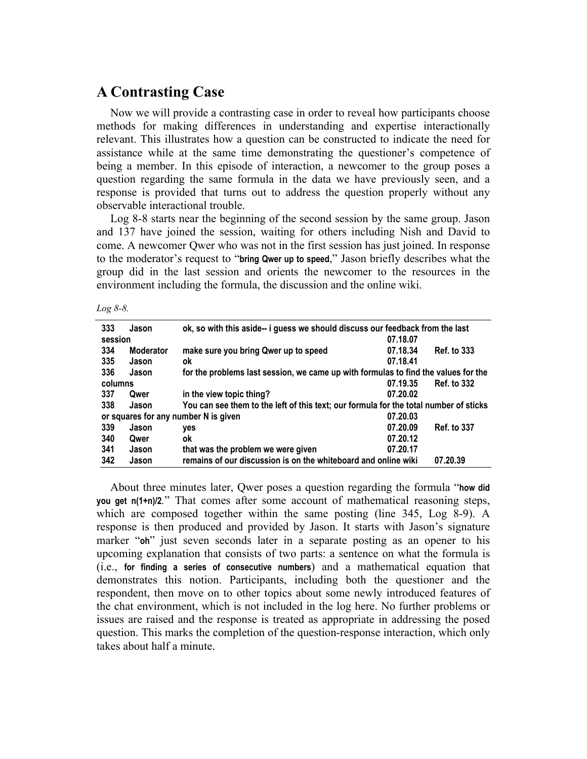### **A Contrasting Case**

Now we will provide a contrasting case in order to reveal how participants choose methods for making differences in understanding and expertise interactionally relevant. This illustrates how a question can be constructed to indicate the need for assistance while at the same time demonstrating the questioner's competence of being a member. In this episode of interaction, a newcomer to the group poses a question regarding the same formula in the data we have previously seen, and a response is provided that turns out to address the question properly without any observable interactional trouble.

Log 8-8 starts near the beginning of the second session by the same group. Jason and 137 have joined the session, waiting for others including Nish and David to come. A newcomer Qwer who was not in the first session has just joined. In response to the moderator's request to "**bring Qwer up to speed**," Jason briefly describes what the group did in the last session and orients the newcomer to the resources in the environment including the formula, the discussion and the online wiki.

*Log 8-8.*

| 333                                  | Jason            | ok, so with this aside-- i guess we should discuss our feedback from the last         |          |                    |
|--------------------------------------|------------------|---------------------------------------------------------------------------------------|----------|--------------------|
| session                              |                  |                                                                                       | 07.18.07 |                    |
| 334                                  | <b>Moderator</b> | make sure you bring Qwer up to speed                                                  | 07.18.34 | <b>Ref. to 333</b> |
| 335                                  | Jason            | οk                                                                                    | 07.18.41 |                    |
| 336                                  | Jason            | for the problems last session, we came up with formulas to find the values for the    |          |                    |
| columns                              |                  |                                                                                       | 07.19.35 | <b>Ref. to 332</b> |
| 337                                  | Qwer             | in the view topic thing?                                                              | 07.20.02 |                    |
| 338                                  | Jason            | You can see them to the left of this text; our formula for the total number of sticks |          |                    |
| or squares for any number N is given |                  |                                                                                       | 07.20.03 |                    |
| 339                                  | Jason            | <b>ves</b>                                                                            | 07.20.09 | <b>Ref. to 337</b> |
| 340                                  | Qwer             | οk                                                                                    | 07.20.12 |                    |
| 341                                  | Jason            | that was the problem we were given                                                    | 07.20.17 |                    |
| 342                                  | Jason            | remains of our discussion is on the whiteboard and online wiki<br>07.20.39            |          |                    |

About three minutes later, Qwer poses a question regarding the formula "**how did you get n(1+n)/2***.*" That comes after some account of mathematical reasoning steps, which are composed together within the same posting (line 345, Log 8-9). A response is then produced and provided by Jason. It starts with Jason's signature marker "**oh**" just seven seconds later in a separate posting as an opener to his upcoming explanation that consists of two parts: a sentence on what the formula is (i.e., **for finding a series of consecutive numbers**) and a mathematical equation that demonstrates this notion. Participants, including both the questioner and the respondent, then move on to other topics about some newly introduced features of the chat environment, which is not included in the log here. No further problems or issues are raised and the response is treated as appropriate in addressing the posed question. This marks the completion of the question-response interaction, which only takes about half a minute.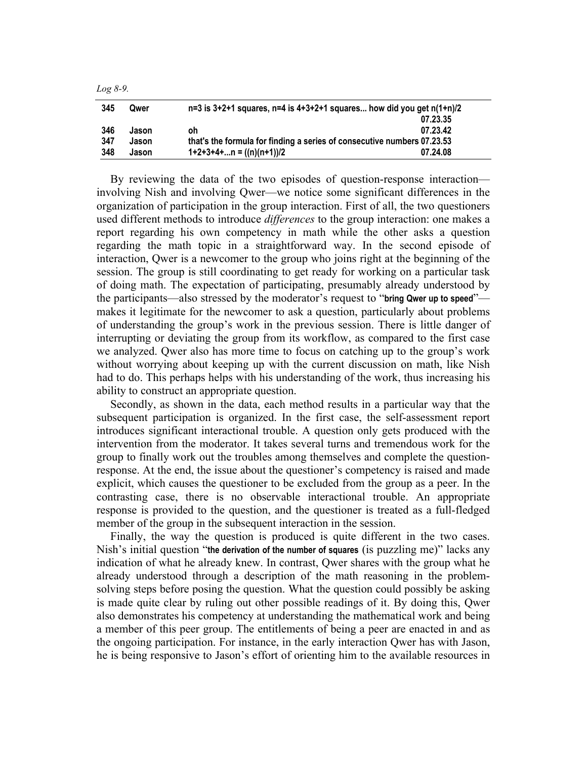*Log 8-9.*

| 345 | Qwer  | $n=3$ is 3+2+1 squares, $n=4$ is 4+3+2+1 squares how did you get $n(1+n)/2$ |          |
|-----|-------|-----------------------------------------------------------------------------|----------|
|     |       |                                                                             | 07.23.35 |
| 346 | Jason | οh                                                                          | 07.23.42 |
| 347 | Jason | that's the formula for finding a series of consecutive numbers 07.23.53     |          |
| 348 | Jason | $1+2+3+4+n = ((n)(n+1))/2$                                                  | 07.24.08 |

By reviewing the data of the two episodes of question-response interaction involving Nish and involving Qwer—we notice some significant differences in the organization of participation in the group interaction. First of all, the two questioners used different methods to introduce *differences* to the group interaction: one makes a report regarding his own competency in math while the other asks a question regarding the math topic in a straightforward way. In the second episode of interaction, Qwer is a newcomer to the group who joins right at the beginning of the session. The group is still coordinating to get ready for working on a particular task of doing math. The expectation of participating, presumably already understood by the participants—also stressed by the moderator's request to "**bring Qwer up to speed**" makes it legitimate for the newcomer to ask a question, particularly about problems of understanding the group's work in the previous session. There is little danger of interrupting or deviating the group from its workflow, as compared to the first case we analyzed. Qwer also has more time to focus on catching up to the group's work without worrying about keeping up with the current discussion on math, like Nish had to do. This perhaps helps with his understanding of the work, thus increasing his ability to construct an appropriate question.

Secondly, as shown in the data, each method results in a particular way that the subsequent participation is organized. In the first case, the self-assessment report introduces significant interactional trouble. A question only gets produced with the intervention from the moderator. It takes several turns and tremendous work for the group to finally work out the troubles among themselves and complete the questionresponse. At the end, the issue about the questioner's competency is raised and made explicit, which causes the questioner to be excluded from the group as a peer. In the contrasting case, there is no observable interactional trouble. An appropriate response is provided to the question, and the questioner is treated as a full-fledged member of the group in the subsequent interaction in the session.

Finally, the way the question is produced is quite different in the two cases. Nish's initial question "**the derivation of the number of squares** (is puzzling me)" lacks any indication of what he already knew. In contrast, Qwer shares with the group what he already understood through a description of the math reasoning in the problemsolving steps before posing the question. What the question could possibly be asking is made quite clear by ruling out other possible readings of it. By doing this, Qwer also demonstrates his competency at understanding the mathematical work and being a member of this peer group. The entitlements of being a peer are enacted in and as the ongoing participation. For instance, in the early interaction Qwer has with Jason, he is being responsive to Jason's effort of orienting him to the available resources in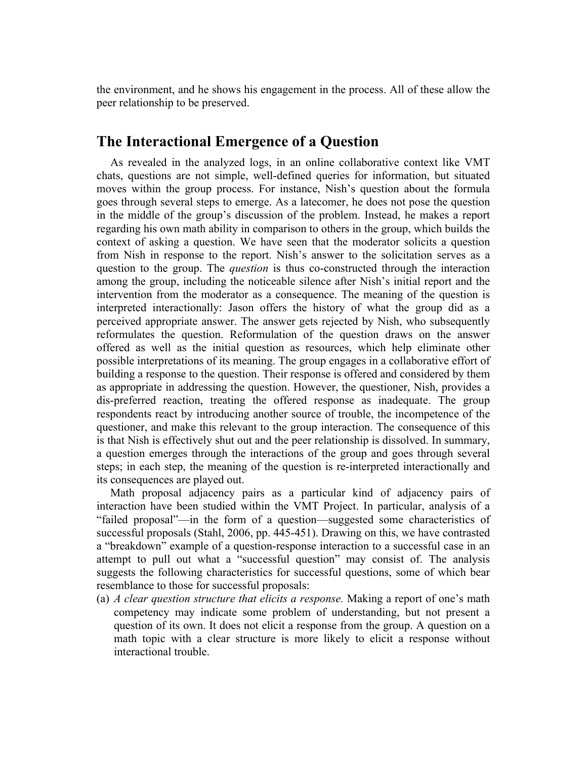the environment, and he shows his engagement in the process. All of these allow the peer relationship to be preserved.

#### **The Interactional Emergence of a Question**

As revealed in the analyzed logs, in an online collaborative context like VMT chats, questions are not simple, well-defined queries for information, but situated moves within the group process. For instance, Nish's question about the formula goes through several steps to emerge. As a latecomer, he does not pose the question in the middle of the group's discussion of the problem. Instead, he makes a report regarding his own math ability in comparison to others in the group, which builds the context of asking a question. We have seen that the moderator solicits a question from Nish in response to the report. Nish's answer to the solicitation serves as a question to the group. The *question* is thus co-constructed through the interaction among the group, including the noticeable silence after Nish's initial report and the intervention from the moderator as a consequence. The meaning of the question is interpreted interactionally: Jason offers the history of what the group did as a perceived appropriate answer. The answer gets rejected by Nish, who subsequently reformulates the question. Reformulation of the question draws on the answer offered as well as the initial question as resources, which help eliminate other possible interpretations of its meaning. The group engages in a collaborative effort of building a response to the question. Their response is offered and considered by them as appropriate in addressing the question. However, the questioner, Nish, provides a dis-preferred reaction, treating the offered response as inadequate. The group respondents react by introducing another source of trouble, the incompetence of the questioner, and make this relevant to the group interaction. The consequence of this is that Nish is effectively shut out and the peer relationship is dissolved. In summary, a question emerges through the interactions of the group and goes through several steps; in each step, the meaning of the question is re-interpreted interactionally and its consequences are played out.

Math proposal adjacency pairs as a particular kind of adjacency pairs of interaction have been studied within the VMT Project. In particular, analysis of a "failed proposal"—in the form of a question—suggested some characteristics of successful proposals (Stahl, 2006, pp. 445-451). Drawing on this, we have contrasted a "breakdown" example of a question-response interaction to a successful case in an attempt to pull out what a "successful question" may consist of. The analysis suggests the following characteristics for successful questions, some of which bear resemblance to those for successful proposals:

(a) *A clear question structure that elicits a response.* Making a report of one's math competency may indicate some problem of understanding, but not present a question of its own. It does not elicit a response from the group. A question on a math topic with a clear structure is more likely to elicit a response without interactional trouble.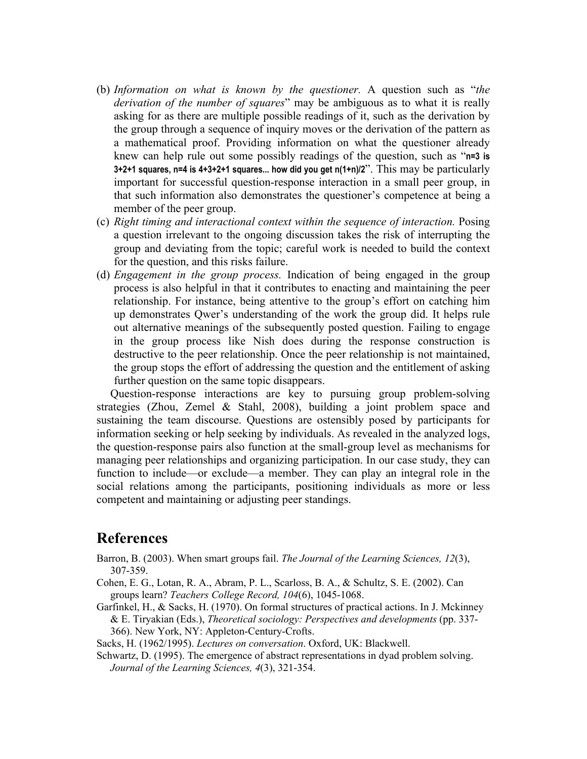- (b) *Information on what is known by the questioner.* A question such as "*the derivation of the number of squares*" may be ambiguous as to what it is really asking for as there are multiple possible readings of it, such as the derivation by the group through a sequence of inquiry moves or the derivation of the pattern as a mathematical proof. Providing information on what the questioner already knew can help rule out some possibly readings of the question, such as "**n=3 is 3+2+1 squares, n=4 is 4+3+2+1 squares... how did you get n(1+n)/2**". This may be particularly important for successful question-response interaction in a small peer group, in that such information also demonstrates the questioner's competence at being a member of the peer group.
- (c) *Right timing and interactional context within the sequence of interaction.* Posing a question irrelevant to the ongoing discussion takes the risk of interrupting the group and deviating from the topic; careful work is needed to build the context for the question, and this risks failure.
- (d) *Engagement in the group process.* Indication of being engaged in the group process is also helpful in that it contributes to enacting and maintaining the peer relationship. For instance, being attentive to the group's effort on catching him up demonstrates Qwer's understanding of the work the group did. It helps rule out alternative meanings of the subsequently posted question. Failing to engage in the group process like Nish does during the response construction is destructive to the peer relationship. Once the peer relationship is not maintained, the group stops the effort of addressing the question and the entitlement of asking further question on the same topic disappears.

Question-response interactions are key to pursuing group problem-solving strategies (Zhou, Zemel & Stahl, 2008), building a joint problem space and sustaining the team discourse. Questions are ostensibly posed by participants for information seeking or help seeking by individuals. As revealed in the analyzed logs, the question-response pairs also function at the small-group level as mechanisms for managing peer relationships and organizing participation. In our case study, they can function to include—or exclude—a member. They can play an integral role in the social relations among the participants, positioning individuals as more or less competent and maintaining or adjusting peer standings.

#### **References**

- Barron, B. (2003). When smart groups fail. *The Journal of the Learning Sciences, 12*(3), 307-359.
- Cohen, E. G., Lotan, R. A., Abram, P. L., Scarloss, B. A., & Schultz, S. E. (2002). Can groups learn? *Teachers College Record, 104*(6), 1045-1068.
- Garfinkel, H., & Sacks, H. (1970). On formal structures of practical actions. In J. Mckinney & E. Tiryakian (Eds.), *Theoretical sociology: Perspectives and developments* (pp. 337- 366). New York, NY: Appleton-Century-Crofts.
- Sacks, H. (1962/1995). *Lectures on conversation*. Oxford, UK: Blackwell.
- Schwartz, D. (1995). The emergence of abstract representations in dyad problem solving. *Journal of the Learning Sciences, 4*(3), 321-354.